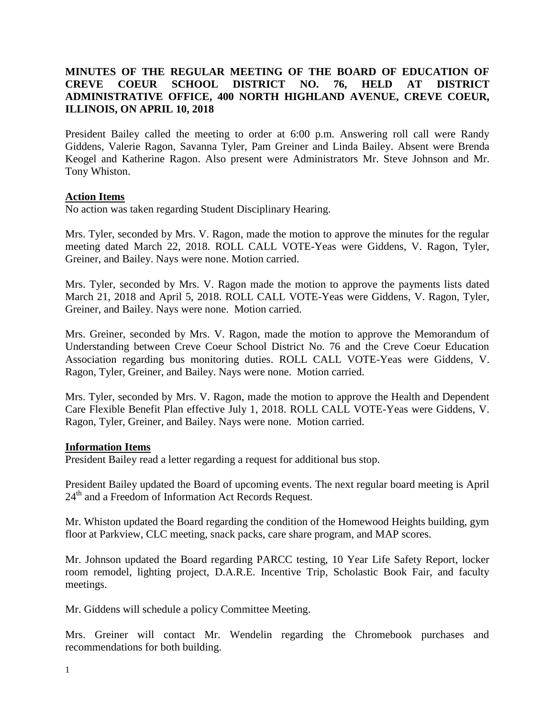# **MINUTES OF THE REGULAR MEETING OF THE BOARD OF EDUCATION OF CREVE COEUR SCHOOL DISTRICT NO. 76, HELD AT DISTRICT ADMINISTRATIVE OFFICE, 400 NORTH HIGHLAND AVENUE, CREVE COEUR, ILLINOIS, ON APRIL 10, 2018**

President Bailey called the meeting to order at 6:00 p.m. Answering roll call were Randy Giddens, Valerie Ragon, Savanna Tyler, Pam Greiner and Linda Bailey. Absent were Brenda Keogel and Katherine Ragon. Also present were Administrators Mr. Steve Johnson and Mr. Tony Whiston.

### **Action Items**

No action was taken regarding Student Disciplinary Hearing.

Mrs. Tyler, seconded by Mrs. V. Ragon, made the motion to approve the minutes for the regular meeting dated March 22, 2018. ROLL CALL VOTE-Yeas were Giddens, V. Ragon, Tyler, Greiner, and Bailey. Nays were none. Motion carried.

Mrs. Tyler, seconded by Mrs. V. Ragon made the motion to approve the payments lists dated March 21, 2018 and April 5, 2018. ROLL CALL VOTE-Yeas were Giddens, V. Ragon, Tyler, Greiner, and Bailey. Nays were none. Motion carried.

Mrs. Greiner, seconded by Mrs. V. Ragon, made the motion to approve the Memorandum of Understanding between Creve Coeur School District No. 76 and the Creve Coeur Education Association regarding bus monitoring duties. ROLL CALL VOTE-Yeas were Giddens, V. Ragon, Tyler, Greiner, and Bailey. Nays were none. Motion carried.

Mrs. Tyler, seconded by Mrs. V. Ragon, made the motion to approve the Health and Dependent Care Flexible Benefit Plan effective July 1, 2018. ROLL CALL VOTE-Yeas were Giddens, V. Ragon, Tyler, Greiner, and Bailey. Nays were none. Motion carried.

#### **Information Items**

President Bailey read a letter regarding a request for additional bus stop.

President Bailey updated the Board of upcoming events. The next regular board meeting is April 24<sup>th</sup> and a Freedom of Information Act Records Request.

Mr. Whiston updated the Board regarding the condition of the Homewood Heights building, gym floor at Parkview, CLC meeting, snack packs, care share program, and MAP scores.

Mr. Johnson updated the Board regarding PARCC testing, 10 Year Life Safety Report, locker room remodel, lighting project, D.A.R.E. Incentive Trip, Scholastic Book Fair, and faculty meetings.

Mr. Giddens will schedule a policy Committee Meeting.

Mrs. Greiner will contact Mr. Wendelin regarding the Chromebook purchases and recommendations for both building.